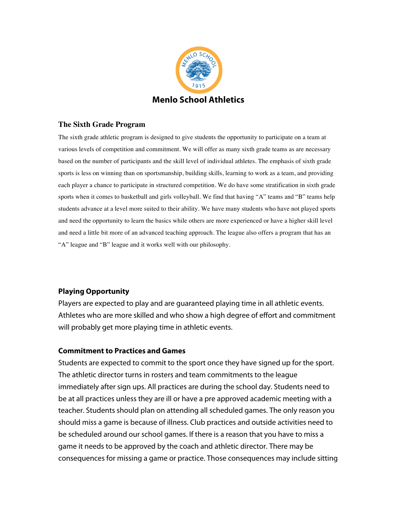

## **The Sixth Grade Program**

The sixth grade athletic program is designed to give students the opportunity to participate on a team at various levels of competition and commitment. We will offer as many sixth grade teams as are necessary based on the number of participants and the skill level of individual athletes. The emphasis of sixth grade sports is less on winning than on sportsmanship, building skills, learning to work as a team, and providing each player a chance to participate in structured competition. We do have some stratification in sixth grade sports when it comes to basketball and girls volleyball. We find that having "A" teams and "B" teams help students advance at a level more suited to their ability. We have many students who have not played sports and need the opportunity to learn the basics while others are more experienced or have a higher skill level and need a little bit more of an advanced teaching approach. The league also offers a program that has an "A" league and "B" league and it works well with our philosophy.

## **Playing Opportunity**

Players are expected to play and are guaranteed playing time in all athletic events. Athletes who are more skilled and who show a high degree of effort and commitment will probably get more playing time in athletic events.

## **Commitment to Practices and Games**

Students are expected to commit to the sport once they have signed up for the sport. The athletic director turns in rosters and team commitments to the league immediately after sign ups. All practices are during the school day. Students need to be at all practices unless they are ill or have a pre approved academic meeting with a teacher. Students should plan on attending all scheduled games. The only reason you should miss a game is because of illness. Club practices and outside activities need to be scheduled around our school games. If there is a reason that you have to miss a game it needs to be approved by the coach and athletic director. There may be consequences for missing a game or practice. Those consequences may include sitting